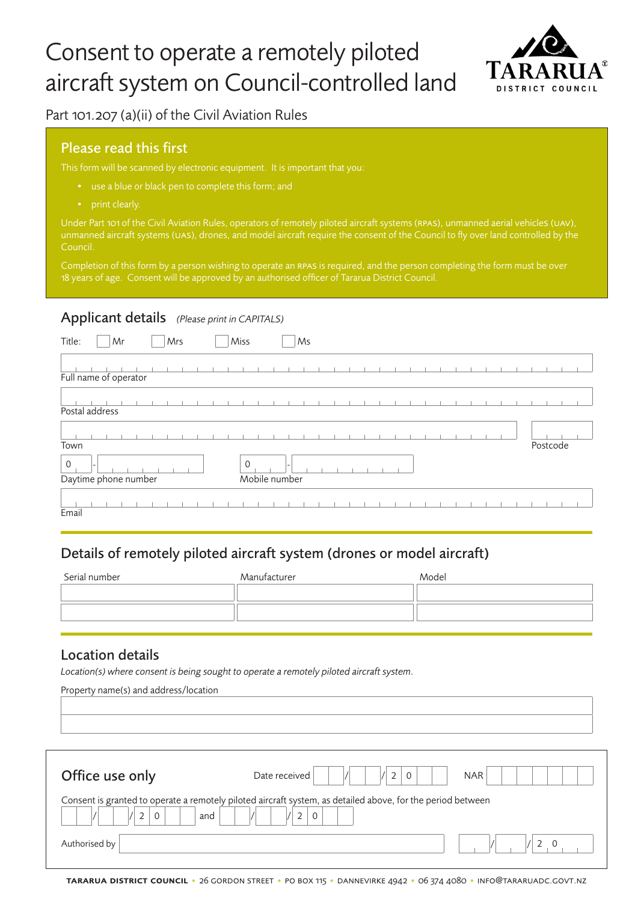# Consent to operate a remotely piloted aircraft system on Council-controlled land



Part 101.207 (a)(ii) of the Civil Aviation Rules

## Please read this first

- 
- 

Council.

Completion of this form by a person wishing to operate an rpas is required, and the person completing the form must be over 18 years of age. Consent will be approved by an authorised officer of Tararua District Council.

### Applicant details *(Please print in CAPITALS)*

| Title:         | Mr                    | Mrs | Miss           |               | Ms |  |  |  |  |          |  |
|----------------|-----------------------|-----|----------------|---------------|----|--|--|--|--|----------|--|
|                | Full name of operator |     |                |               |    |  |  |  |  |          |  |
| Postal address |                       |     |                |               |    |  |  |  |  |          |  |
| Town           |                       |     |                |               |    |  |  |  |  | Postcode |  |
| $\mathbf 0$    | Daytime phone number  |     | $\overline{0}$ | Mobile number |    |  |  |  |  |          |  |
| Email          |                       |     |                |               |    |  |  |  |  |          |  |

## Details of remotely piloted aircraft system (drones or model aircraft)

| Serial number | Manufacturer | Model |
|---------------|--------------|-------|
|               |              |       |
|               |              |       |
|               |              |       |

#### Location details

*Location(s) where consent is being sought to operate a remotely piloted aircraft system.*

Property name(s) and address/location

| Office use only | $\mathbf{0}$<br>Date received<br><b>NAR</b>                                                                 |
|-----------------|-------------------------------------------------------------------------------------------------------------|
| and             | Consent is granted to operate a remotely piloted aircraft system, as detailed above, for the period between |
| Authorised by   |                                                                                                             |